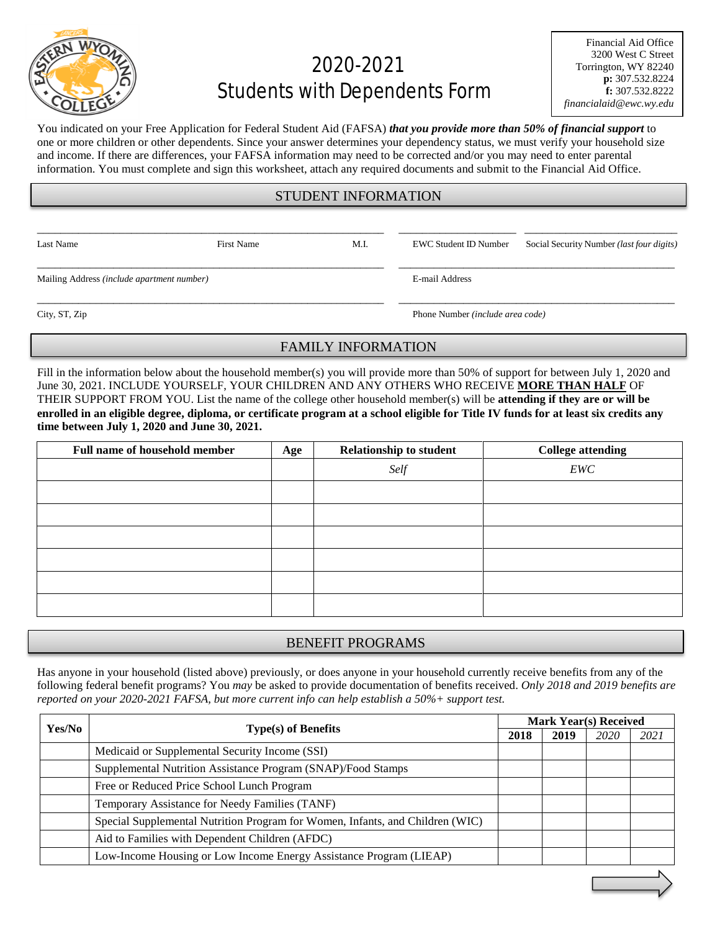

# 2020-2021 Students with Dependents Form

You indicated on your Free Application for Federal Student Aid (FAFSA) *that you provide more than 50% of financial support* to one or more children or other dependents. Since your answer determines your dependency status, we must verify your household size and income. If there are differences, your FAFSA information may need to be corrected and/or you may need to enter parental information. You must complete and sign this worksheet, attach any required documents and submit to the Financial Aid Office.

### STUDENT INFORMATION

\_\_\_\_\_\_\_\_\_\_\_\_\_\_\_\_\_\_\_\_\_\_\_\_\_\_\_\_\_\_\_\_\_\_\_\_\_\_\_\_\_\_\_\_\_\_\_\_\_\_\_\_\_\_\_\_\_\_\_ \_\_\_\_\_\_\_\_\_\_\_\_\_\_\_\_\_\_\_\_ \_\_\_\_\_\_\_\_\_\_\_\_\_\_\_\_\_\_\_\_\_\_\_\_\_\_

\_\_\_\_\_\_\_\_\_\_\_\_\_\_\_\_\_\_\_\_\_\_\_\_\_\_\_\_\_\_\_\_\_\_\_\_\_\_\_\_\_\_\_\_\_\_\_\_\_\_\_\_\_\_\_\_\_\_\_ \_\_\_\_\_\_\_\_\_\_\_\_\_\_\_\_\_\_\_\_\_\_\_\_\_\_\_\_\_\_\_\_\_\_\_\_\_\_\_\_\_\_\_\_\_\_\_

\_\_\_\_\_\_\_\_\_\_\_\_\_\_\_\_\_\_\_\_\_\_\_\_\_\_\_\_\_\_\_\_\_\_\_\_\_\_\_\_\_\_\_\_\_\_\_\_\_\_\_\_\_\_\_\_\_\_\_ \_\_\_\_\_\_\_\_\_\_\_\_\_\_\_\_\_\_\_\_\_\_\_\_\_\_\_\_\_\_\_\_\_\_\_\_\_\_\_\_\_\_\_\_\_\_\_

Last Name First Name First Name M.I. EWC Student ID Number Social Security Number *(last four digits)* 

Mailing Address *(include apartment number)* E-mail Address

City, ST, Zip Phone Number *(include area code)*

#### FAMILY INFORMATION

Fill in the information below about the household member(s) you will provide more than 50% of support for between July 1, 2020 and June 30, 2021. INCLUDE YOURSELF, YOUR CHILDREN AND ANY OTHERS WHO RECEIVE **MORE THAN HALF** OF THEIR SUPPORT FROM YOU. List the name of the college other household member(s) will be **attending if they are or will be enrolled in an eligible degree, diploma, or certificate program at a school eligible for Title IV funds for at least six credits any time between July 1, 2020 and June 30, 2021.**

| <b>Full name of household member</b> | Age | <b>Relationship to student</b> | <b>College attending</b> |
|--------------------------------------|-----|--------------------------------|--------------------------|
|                                      |     | Self                           | EWC                      |
|                                      |     |                                |                          |
|                                      |     |                                |                          |
|                                      |     |                                |                          |
|                                      |     |                                |                          |
|                                      |     |                                |                          |
|                                      |     |                                |                          |

## BENEFIT PROGRAMS

Has anyone in your household (listed above) previously, or does anyone in your household currently receive benefits from any of the following federal benefit programs? You *may* be asked to provide documentation of benefits received. *Only 2018 and 2019 benefits are reported on your 2020-2021 FAFSA, but more current info can help establish a 50%+ support test.*

| Yes/No |                                                                               | <b>Mark Year(s) Received</b> |      |      |      |
|--------|-------------------------------------------------------------------------------|------------------------------|------|------|------|
|        | Type(s) of Benefits                                                           |                              | 2019 | 2020 | 2021 |
|        | Medicaid or Supplemental Security Income (SSI)                                |                              |      |      |      |
|        | Supplemental Nutrition Assistance Program (SNAP)/Food Stamps                  |                              |      |      |      |
|        | Free or Reduced Price School Lunch Program                                    |                              |      |      |      |
|        | Temporary Assistance for Needy Families (TANF)                                |                              |      |      |      |
|        | Special Supplemental Nutrition Program for Women, Infants, and Children (WIC) |                              |      |      |      |
|        | Aid to Families with Dependent Children (AFDC)                                |                              |      |      |      |
|        | Low-Income Housing or Low Income Energy Assistance Program (LIEAP)            |                              |      |      |      |
|        |                                                                               |                              |      |      |      |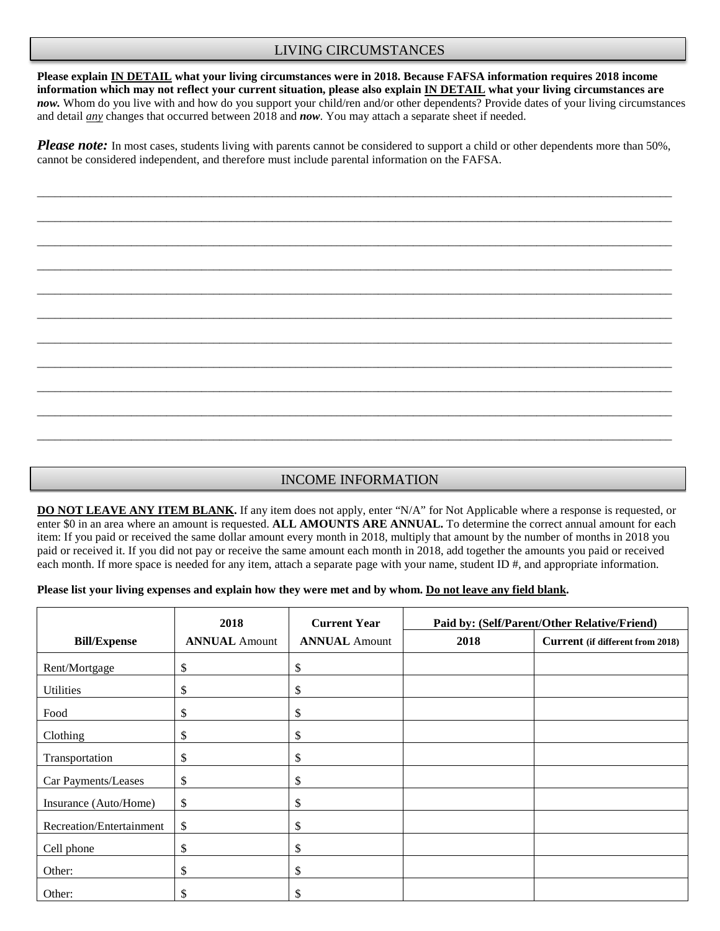#### LIVING CIRCUMSTANCES

**Please explain IN DETAIL what your living circumstances were in 2018. Because FAFSA information requires 2018 income information which may not reflect your current situation, please also explain IN DETAIL what your living circumstances are** *now.* Whom do you live with and how do you support your child/ren and/or other dependents? Provide dates of your living circumstances and detail *any* changes that occurred between 2018 and *now*. You may attach a separate sheet if needed.

*Please note:* In most cases, students living with parents cannot be considered to support a child or other dependents more than 50%, cannot be considered independent, and therefore must include parental information on the FAFSA.

\_\_\_\_\_\_\_\_\_\_\_\_\_\_\_\_\_\_\_\_\_\_\_\_\_\_\_\_\_\_\_\_\_\_\_\_\_\_\_\_\_\_\_\_\_\_\_\_\_\_\_\_\_\_\_\_\_\_\_\_\_\_\_\_\_\_\_\_\_\_\_\_\_\_\_\_\_\_\_\_\_\_\_\_\_\_\_\_\_\_\_\_\_\_\_\_\_\_\_\_\_\_\_\_\_\_\_\_

\_\_\_\_\_\_\_\_\_\_\_\_\_\_\_\_\_\_\_\_\_\_\_\_\_\_\_\_\_\_\_\_\_\_\_\_\_\_\_\_\_\_\_\_\_\_\_\_\_\_\_\_\_\_\_\_\_\_\_\_\_\_\_\_\_\_\_\_\_\_\_\_\_\_\_\_\_\_\_\_\_\_\_\_\_\_\_\_\_\_\_\_\_\_\_\_\_\_\_\_\_\_\_\_\_\_\_\_

\_\_\_\_\_\_\_\_\_\_\_\_\_\_\_\_\_\_\_\_\_\_\_\_\_\_\_\_\_\_\_\_\_\_\_\_\_\_\_\_\_\_\_\_\_\_\_\_\_\_\_\_\_\_\_\_\_\_\_\_\_\_\_\_\_\_\_\_\_\_\_\_\_\_\_\_\_\_\_\_\_\_\_\_\_\_\_\_\_\_\_\_\_\_\_\_\_\_\_\_\_\_\_\_\_\_\_\_

\_\_\_\_\_\_\_\_\_\_\_\_\_\_\_\_\_\_\_\_\_\_\_\_\_\_\_\_\_\_\_\_\_\_\_\_\_\_\_\_\_\_\_\_\_\_\_\_\_\_\_\_\_\_\_\_\_\_\_\_\_\_\_\_\_\_\_\_\_\_\_\_\_\_\_\_\_\_\_\_\_\_\_\_\_\_\_\_\_\_\_\_\_\_\_\_\_\_\_\_\_\_\_\_\_\_\_\_

\_\_\_\_\_\_\_\_\_\_\_\_\_\_\_\_\_\_\_\_\_\_\_\_\_\_\_\_\_\_\_\_\_\_\_\_\_\_\_\_\_\_\_\_\_\_\_\_\_\_\_\_\_\_\_\_\_\_\_\_\_\_\_\_\_\_\_\_\_\_\_\_\_\_\_\_\_\_\_\_\_\_\_\_\_\_\_\_\_\_\_\_\_\_\_\_\_\_\_\_\_\_\_\_\_\_\_\_

\_\_\_\_\_\_\_\_\_\_\_\_\_\_\_\_\_\_\_\_\_\_\_\_\_\_\_\_\_\_\_\_\_\_\_\_\_\_\_\_\_\_\_\_\_\_\_\_\_\_\_\_\_\_\_\_\_\_\_\_\_\_\_\_\_\_\_\_\_\_\_\_\_\_\_\_\_\_\_\_\_\_\_\_\_\_\_\_\_\_\_\_\_\_\_\_\_\_\_\_\_\_\_\_\_\_\_\_

\_\_\_\_\_\_\_\_\_\_\_\_\_\_\_\_\_\_\_\_\_\_\_\_\_\_\_\_\_\_\_\_\_\_\_\_\_\_\_\_\_\_\_\_\_\_\_\_\_\_\_\_\_\_\_\_\_\_\_\_\_\_\_\_\_\_\_\_\_\_\_\_\_\_\_\_\_\_\_\_\_\_\_\_\_\_\_\_\_\_\_\_\_\_\_\_\_\_\_\_\_\_\_\_\_\_\_\_

\_\_\_\_\_\_\_\_\_\_\_\_\_\_\_\_\_\_\_\_\_\_\_\_\_\_\_\_\_\_\_\_\_\_\_\_\_\_\_\_\_\_\_\_\_\_\_\_\_\_\_\_\_\_\_\_\_\_\_\_\_\_\_\_\_\_\_\_\_\_\_\_\_\_\_\_\_\_\_\_\_\_\_\_\_\_\_\_\_\_\_\_\_\_\_\_\_\_\_\_\_\_\_\_\_\_\_\_

\_\_\_\_\_\_\_\_\_\_\_\_\_\_\_\_\_\_\_\_\_\_\_\_\_\_\_\_\_\_\_\_\_\_\_\_\_\_\_\_\_\_\_\_\_\_\_\_\_\_\_\_\_\_\_\_\_\_\_\_\_\_\_\_\_\_\_\_\_\_\_\_\_\_\_\_\_\_\_\_\_\_\_\_\_\_\_\_\_\_\_\_\_\_\_\_\_\_\_\_\_\_\_\_\_\_\_\_

\_\_\_\_\_\_\_\_\_\_\_\_\_\_\_\_\_\_\_\_\_\_\_\_\_\_\_\_\_\_\_\_\_\_\_\_\_\_\_\_\_\_\_\_\_\_\_\_\_\_\_\_\_\_\_\_\_\_\_\_\_\_\_\_\_\_\_\_\_\_\_\_\_\_\_\_\_\_\_\_\_\_\_\_\_\_\_\_\_\_\_\_\_\_\_\_\_\_\_\_\_\_\_\_\_\_\_\_

\_\_\_\_\_\_\_\_\_\_\_\_\_\_\_\_\_\_\_\_\_\_\_\_\_\_\_\_\_\_\_\_\_\_\_\_\_\_\_\_\_\_\_\_\_\_\_\_\_\_\_\_\_\_\_\_\_\_\_\_\_\_\_\_\_\_\_\_\_\_\_\_\_\_\_\_\_\_\_\_\_\_\_\_\_\_\_\_\_\_\_\_\_\_\_\_\_\_\_\_\_\_\_\_\_\_\_\_

#### INCOME INFORMATION

**DO NOT LEAVE ANY ITEM BLANK.** If any item does not apply, enter "N/A" for Not Applicable where a response is requested, or enter \$0 in an area where an amount is requested. **ALL AMOUNTS ARE ANNUAL.** To determine the correct annual amount for each item: If you paid or received the same dollar amount every month in 2018, multiply that amount by the number of months in 2018 you paid or received it. If you did not pay or receive the same amount each month in 2018, add together the amounts you paid or received each month. If more space is needed for any item, attach a separate page with your name, student ID #, and appropriate information.

#### **Please list your living expenses and explain how they were met and by whom. Do not leave any field blank.**

|                          | 2018                 | <b>Current Year</b><br>Paid by: (Self/Parent/Other Relative/Friend) |      |                                         |
|--------------------------|----------------------|---------------------------------------------------------------------|------|-----------------------------------------|
| <b>Bill/Expense</b>      | <b>ANNUAL Amount</b> | <b>ANNUAL Amount</b>                                                | 2018 | <b>Current</b> (if different from 2018) |
| Rent/Mortgage            | \$                   | \$                                                                  |      |                                         |
| <b>Utilities</b>         | \$                   | \$                                                                  |      |                                         |
| Food                     | \$                   | \$                                                                  |      |                                         |
| Clothing                 | \$                   | \$                                                                  |      |                                         |
| Transportation           | \$                   | \$                                                                  |      |                                         |
| Car Payments/Leases      | \$                   | \$                                                                  |      |                                         |
| Insurance (Auto/Home)    | \$                   | \$                                                                  |      |                                         |
| Recreation/Entertainment | \$                   | \$                                                                  |      |                                         |
| Cell phone               | \$                   | \$                                                                  |      |                                         |
| Other:                   | \$                   | \$                                                                  |      |                                         |
| Other:                   | \$                   | \$                                                                  |      |                                         |